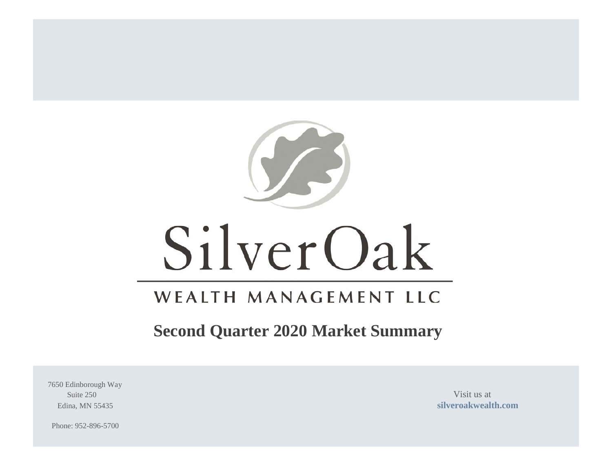

# SilverOak

## WEALTH MANAGEMENT LLC

## **Second Quarter 2020 Market Summary**

7650 Edinborough Way Suite 250 Visit us at

Edina, MN 55435 **[silveroakwealth.com](http://www.silveroakwealth.com/silveroakwealth.aspx)**

Phone: 952-896-5700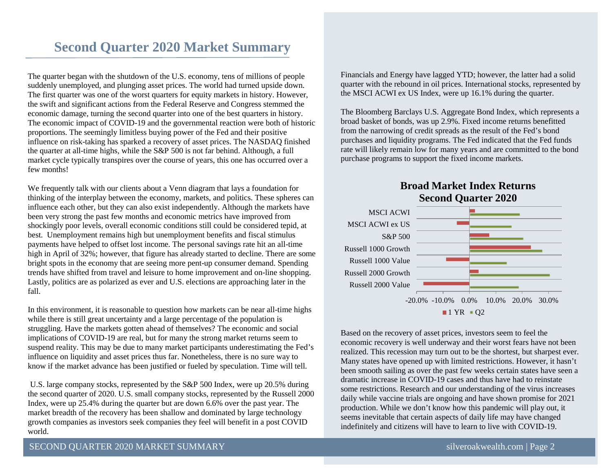## **Second Quarter 2020 Market Summary**

The quarter began with the shutdown of the U.S. economy, tens of millions of people suddenly unemployed, and plunging asset prices. The world had turned upside down. The first quarter was one of the worst quarters for equity markets in history. However, the swift and significant actions from the Federal Reserve and Congress stemmed the economic damage, turning the second quarter into one of the best quarters in history. The economic impact of COVID-19 and the governmental reaction were both of historic proportions. The seemingly limitless buying power of the Fed and their positive influence on risk-taking has sparked a recovery of asset prices. The NASDAQ finished the quarter at all-time highs, while the S&P 500 is not far behind. Although, a full market cycle typically transpires over the course of years, this one has occurred over a few months!

We frequently talk with our clients about a Venn diagram that lays a foundation for thinking of the interplay between the economy, markets, and politics. These spheres can influence each other, but they can also exist independently. Although the markets have been very strong the past few months and economic metrics have improved from shockingly poor levels, overall economic conditions still could be considered tepid, at best. Unemployment remains high but unemployment benefits and fiscal stimulus payments have helped to offset lost income. The personal savings rate hit an all-time high in April of 32%; however, that figure has already started to decline. There are some bright spots in the economy that are seeing more pent-up consumer demand. Spending trends have shifted from travel and leisure to home improvement and on-line shopping. Lastly, politics are as polarized as ever and U.S. elections are approaching later in the fall.

In this environment, it is reasonable to question how markets can be near all-time highs while there is still great uncertainty and a large percentage of the population is struggling. Have the markets gotten ahead of themselves? The economic and social implications of COVID-19 are real, but for many the strong market returns seem to suspend reality. This may be due to many market participants underestimating the Fed's influence on liquidity and asset prices thus far. Nonetheless, there is no sure way to know if the market advance has been justified or fueled by speculation. Time will tell.

U.S. large company stocks, represented by the S&P 500 Index, were up 20.5% during the second quarter of 2020. U.S. small company stocks, represented by the Russell 2000 Index, were up 25.4% during the quarter but are down 6.6% over the past year. The market breadth of the recovery has been shallow and dominated by large technology growth companies as investors seek companies they feel will benefit in a post COVID world.

Financials and Energy have lagged YTD; however, the latter had a solid quarter with the rebound in oil prices. International stocks, represented by the MSCI ACWI ex US Index, were up 16.1% during the quarter.

The Bloomberg Barclays U.S. Aggregate Bond Index, which represents a broad basket of bonds, was up 2.9%. Fixed income returns benefitted from the narrowing of credit spreads as the result of the Fed's bond purchases and liquidity programs. The Fed indicated that the Fed funds rate will likely remain low for many years and are committed to the bond purchase programs to support the fixed income markets.

**Broad Market Index Returns**



Based on the recovery of asset prices, investors seem to feel the economic recovery is well underway and their worst fears have not been realized. This recession may turn out to be the shortest, but sharpest ever. Many states have opened up with limited restrictions. However, it hasn't been smooth sailing as over the past few weeks certain states have seen a dramatic increase in COVID-19 cases and thus have had to reinstate some restrictions. Research and our understanding of the virus increases daily while vaccine trials are ongoing and have shown promise for 2021 production. While we don't know how this pandemic will play out, it seems inevitable that certain aspects of daily life may have changed indefinitely and citizens will have to learn to live with COVID-19.

#### SECOND QUARTER 2020 MARKET SUMMARY [silveroakwealth.com](http://www.silveroakwealth.com/silveroakwealth.aspx) | Page 2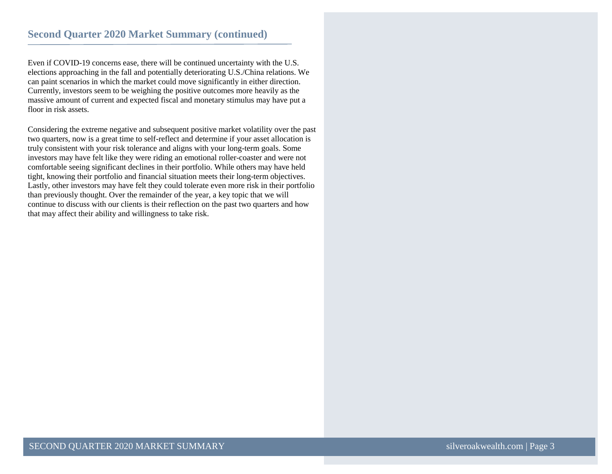Even if COVID-19 concerns ease, there will be continued uncertainty with the U.S. elections approaching in the fall and potentially deteriorating U.S./China relations. We can paint scenarios in which the market could move significantly in either direction. Currently, investors seem to be weighing the positive outcomes more heavily as the massive amount of current and expected fiscal and monetary stimulus may have put a floor in risk assets.

Considering the extreme negative and subsequent positive market volatility over the past two quarters, now is a great time to self-reflect and determine if your asset allocation is truly consistent with your risk tolerance and aligns with your long-term goals. Some investors may have felt like they were riding an emotional roller-coaster and were not comfortable seeing significant declines in their portfolio. While others may have held tight, knowing their portfolio and financial situation meets their long-term objectives. Lastly, other investors may have felt they could tolerate even more risk in their portfolio than previously thought. Over the remainder of the year, a key topic that we will continue to discuss with our clients is their reflection on the past two quarters and how that may affect their ability and willingness to take risk.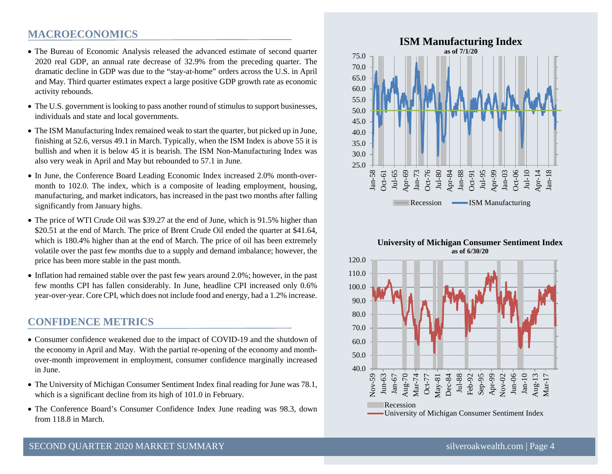#### **MACROECONOMICS**

- The Bureau of Economic Analysis released the advanced estimate of second quarter 2020 real GDP, an annual rate decrease of 32.9% from the preceding quarter. The dramatic decline in GDP was due to the "stay-at-home" orders across the U.S. in April and May. Third quarter estimates expect a large positive GDP growth rate as economic activity rebounds.
- The U.S. government is looking to pass another round of stimulus to support businesses, individuals and state and local governments.
- The ISM Manufacturing Index remained weak to start the quarter, but picked up in June, finishing at 52.6, versus 49.1 in March. Typically, when the ISM Index is above 55 it is bullish and when it is below 45 it is bearish. The ISM Non-Manufacturing Index was also very weak in April and May but rebounded to 57.1 in June.
- In June, the Conference Board Leading Economic Index increased 2.0% month-overmonth to 102.0. The index, which is a composite of leading employment, housing, manufacturing, and market indicators, has increased in the past two months after falling significantly from January highs.
- The price of WTI Crude Oil was \$39.27 at the end of June, which is 91.5% higher than \$20.51 at the end of March. The price of Brent Crude Oil ended the quarter at \$41.64, which is 180.4% higher than at the end of March. The price of oil has been extremely volatile over the past few months due to a supply and demand imbalance; however, the price has been more stable in the past month.
- Inflation had remained stable over the past few years around 2.0%; however, in the past few months CPI has fallen considerably. In June, headline CPI increased only 0.6% year-over-year. Core CPI, which does not include food and energy, had a 1.2% increase.

#### **CONFIDENCE METRICS**

- Consumer confidence weakened due to the impact of COVID-19 and the shutdown of the economy in April and May. With the partial re-opening of the economy and monthover-month improvement in employment, consumer confidence marginally increased in June.
- The University of Michigan Consumer Sentiment Index final reading for June was 78.1, which is a significant decline from its high of 101.0 in February.
- The Conference Board's Consumer Confidence Index June reading was 98.3, down from 118.8 in March.



#### **University of Michigan Consumer Sentiment Index as of 6/30/20**

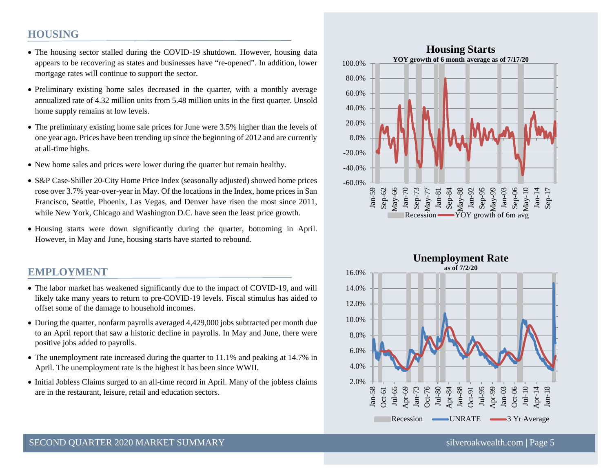#### **HOUSING**

- The housing sector stalled during the COVID-19 shutdown. However, housing data appears to be recovering as states and businesses have "re-opened". In addition, lower mortgage rates will continue to support the sector.
- Preliminary existing home sales decreased in the quarter, with a monthly average annualized rate of 4.32 million units from 5.48 million units in the first quarter. Unsold home supply remains at low levels.
- The preliminary existing home sale prices for June were 3.5% higher than the levels of one year ago. Prices have been trending up since the beginning of 2012 and are currently at all-time highs.
- New home sales and prices were lower during the quarter but remain healthy.
- S&P Case-Shiller 20-City Home Price Index (seasonally adjusted) showed home prices rose over 3.7% year-over-year in May. Of the locations in the Index, home prices in San Francisco, Seattle, Phoenix, Las Vegas, and Denver have risen the most since 2011, while New York, Chicago and Washington D.C. have seen the least price growth.
- Housing starts were down significantly during the quarter, bottoming in April. However, in May and June, housing starts have started to rebound.

#### **EMPLOYMENT**

- The labor market has weakened significantly due to the impact of COVID-19, and will likely take many years to return to pre-COVID-19 levels. Fiscal stimulus has aided to offset some of the damage to household incomes.
- During the quarter, nonfarm payrolls averaged 4,429,000 jobs subtracted per month due to an April report that saw a historic decline in payrolls. In May and June, there were positive jobs added to payrolls.
- The unemployment rate increased during the quarter to 11.1% and peaking at 14.7% in April. The unemployment rate is the highest it has been since WWII.
- Initial Jobless Claims surged to an all-time record in April. Many of the jobless claims are in the restaurant, leisure, retail and education sectors.



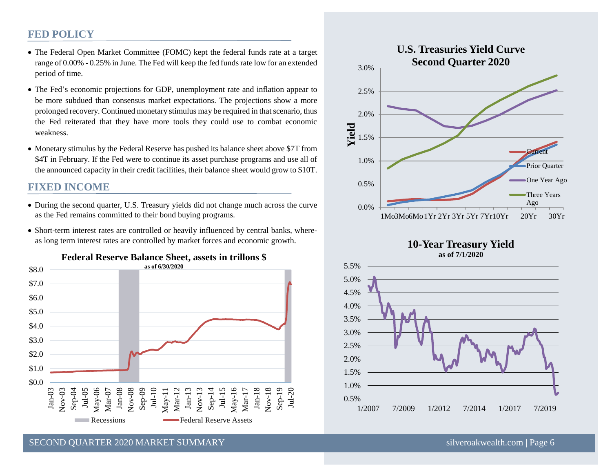#### **FED POLICY**

- The Federal Open Market Committee (FOMC) kept the federal funds rate at a target range of 0.00% - 0.25% in June. The Fed will keep the fed funds rate low for an extended period of time.
- The Fed's economic projections for GDP, unemployment rate and inflation appear to be more subdued than consensus market expectations. The projections show a more prolonged recovery. Continued monetary stimulus may be required in that scenario, thus the Fed reiterated that they have more tools they could use to combat economic weakness.
- Monetary stimulus by the Federal Reserve has pushed its balance sheet above \$7T from \$4T in February. If the Fed were to continue its asset purchase programs and use all of the announced capacity in their credit facilities, their balance sheet would grow to \$10T.

#### **FIXED INCOME**

- During the second quarter, U.S. Treasury yields did not change much across the curve as the Fed remains committed to their bond buying programs.
- Short-term interest rates are controlled or heavily influenced by central banks, whereas long term interest rates are controlled by market forces and economic growth.



**Federal Reserve Balance Sheet, assets in trillons \$**



#### **10-Year Treasury Yield as of 7/1/2020**



SECOND OUARTER 2020 MARKET SUMMARY [silveroakwealth.com](http://www.silveroakwealth.com/silveroakwealth.aspx) | Page 6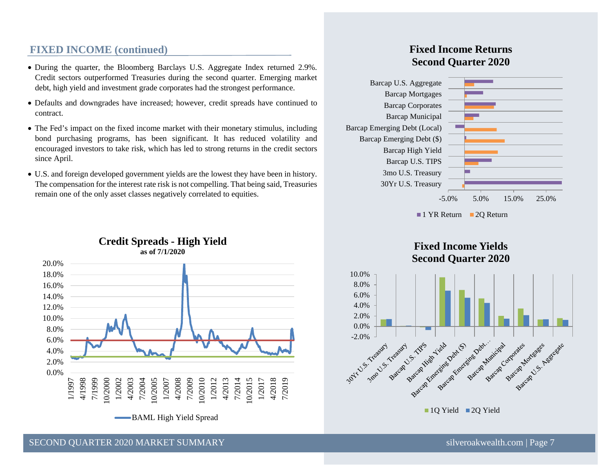#### **FIXED INCOME (continued)**

- During the quarter, the Bloomberg Barclays U.S. Aggregate Index returned 2.9%. Credit sectors outperformed Treasuries during the second quarter. Emerging market debt, high yield and investment grade corporates had the strongest performance.
- Defaults and downgrades have increased; however, credit spreads have continued to contract.
- The Fed's impact on the fixed income market with their monetary stimulus, including bond purchasing programs, has been significant. It has reduced volatility and encouraged investors to take risk, which has led to strong returns in the credit sectors since April.
- U.S. and foreign developed government yields are the lowest they have been in history. The compensation for the interest rate risk is not compelling. That being said, Treasuries remain one of the only asset classes negatively correlated to equities.



#### **Credit Spreads - High Yield as of 7/1/2020**

#### **Fixed Income Returns Second Quarter 2020**









SECOND OUARTER 2020 MARKET SUMMARY SILVER AND SILVER SUMMARY SILVER SILVER SILVER SILVER SILVER SILVER SILVER SUMMARY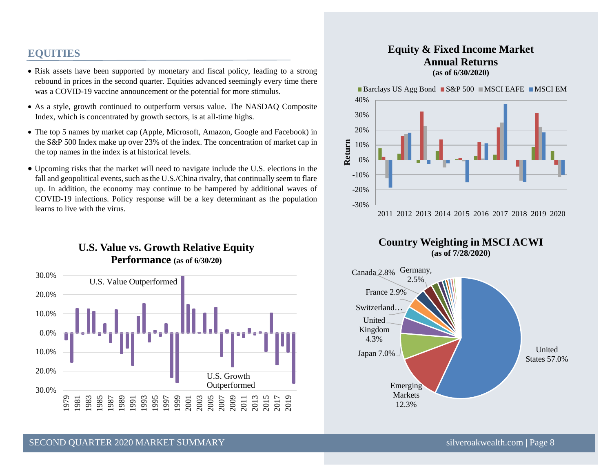#### **EQUITIES**

- Risk assets have been supported by monetary and fiscal policy, leading to a strong rebound in prices in the second quarter. Equities advanced seemingly every time there was a COVID-19 vaccine announcement or the potential for more stimulus.
- As a style, growth continued to outperform versus value. The NASDAQ Composite Index, which is concentrated by growth sectors, is at all-time highs.
- The top 5 names by market cap (Apple, Microsoft, Amazon, Google and Facebook) in the S&P 500 Index make up over 23% of the index. The concentration of market cap in the top names in the index is at historical levels.
- Upcoming risks that the market will need to navigate include the U.S. elections in the fall and geopolitical events, such as the U.S./China rivalry, that continually seem to flare up. In addition, the economy may continue to be hampered by additional waves of COVID-19 infections. Policy response will be a key determinant as the population learns to live with the virus.

### **U.S. Value vs. Growth Relative Equity Performance (as of 6/30/20)**



#### **Equity & Fixed Income Market Annual Returns (as of 6/30/2020)**

Barclays US Agg Bond  $\blacksquare$  S&P 500  $\blacksquare$  MSCI EAFE  $\blacksquare$  MSCI EM



**Country Weighting in MSCI ACWI (as of 7/28/2020)**

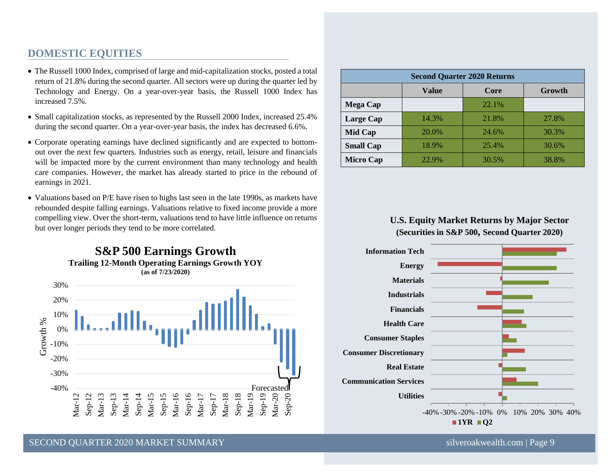#### **DOMESTIC EQUITIES**

- The Russell 1000 Index, comprised of large and mid-capitalization stocks, posted a total return of 21.8% during the second quarter. All sectors were up during the quarter led by Technology and Energy. On a year-over-year basis, the Russell 1000 Index has increased 7.5%.
- Small capitalization stocks, as represented by the Russell 2000 Index, increased 25.4% during the second quarter. On a year-over-year basis, the index has decreased 6.6%.
- Corporate operating earnings have declined significantly and are expected to bottomout over the next few quarters. Industries such as energy, retail, leisure and financials will be impacted more by the current environment than many technology and health care companies. However, the market has already started to price in the rebound of earnings in 2021.
- Valuations based on P/E have risen to highs last seen in the late 1990s, as markets have rebounded despite falling earnings. Valuations relative to fixed income provide a more compelling view. Over the short-term, valuations tend to have little influence on returns but over longer periods they tend to be more correlated.



| <b>Second Quarter 2020 Returns</b> |       |       |        |
|------------------------------------|-------|-------|--------|
|                                    | Value | Core  | Growth |
| <b>Mega Cap</b>                    |       | 22.1% |        |
| Large Cap                          | 14.3% | 21.8% | 27.8%  |
| Mid Cap                            | 20.0% | 24.6% | 30.3%  |
| <b>Small Cap</b>                   | 18.9% | 25.4% | 30.6%  |
| <b>Micro Cap</b>                   | 22.9% | 30.5% | 38.8%  |

#### **U.S. Equity Market Returns by Major Sector (Securities in S&P 500, Second Quarter 2020)**



SECOND QUARTER 2020 MARKET SUMMARY [silveroakwealth.com](http://www.silveroakwealth.com/silveroakwealth.aspx) | Page 9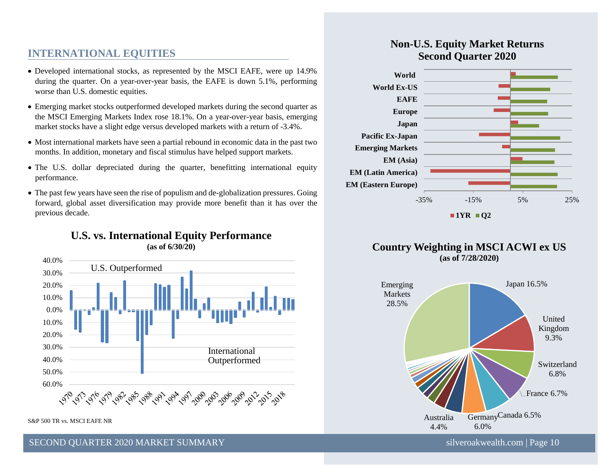#### **INTERNATIONAL EQUITIES**

- Developed international stocks, as represented by the MSCI EAFE, were up 14.9% during the quarter. On a year-over-year basis, the EAFE is down 5.1%, performing worse than U.S. domestic equities.
- Emerging market stocks outperformed developed markets during the second quarter as the MSCI Emerging Markets Index rose 18.1%. On a year-over-year basis, emerging market stocks have a slight edge versus developed markets with a return of -3.4%.
- Most international markets have seen a partial rebound in economic data in the past two months. In addition, monetary and fiscal stimulus have helped support markets.
- The U.S. dollar depreciated during the quarter, benefitting international equity performance.
- The past few years have seen the rise of populism and de-globalization pressures. Going forward, global asset diversification may provide more benefit than it has over the previous decade.

**U.S. vs. International Equity Performance** 



#### S&P 500 TR vs. MSCI EAFE NR



### **Non-U.S. Equity Market Returns Second Quarter 2020**